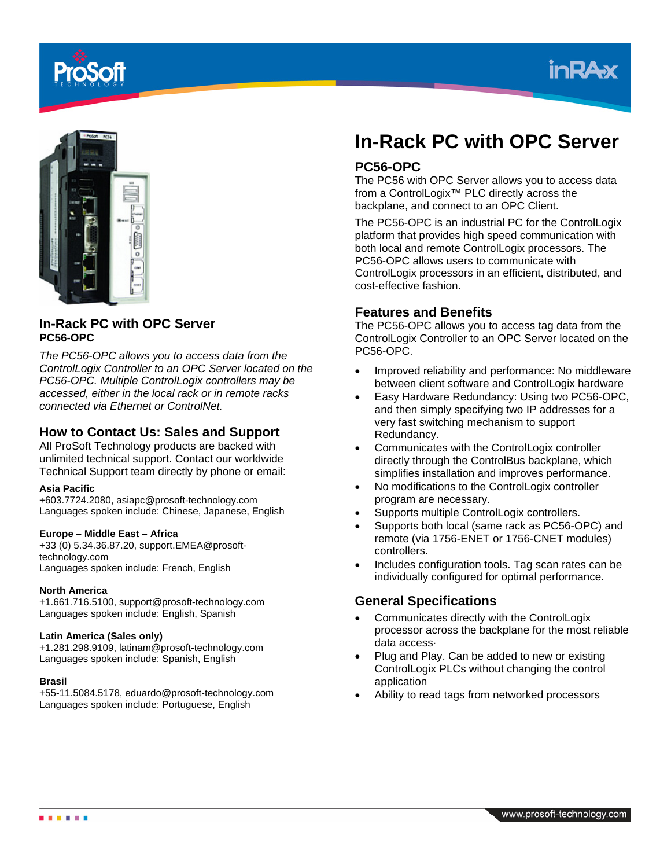





## **In-Rack PC with OPC Server PC56-OPC**

*The PC56-OPC allows you to access data from the ControlLogix Controller to an OPC Server located on the PC56-OPC. Multiple ControlLogix controllers may be accessed, either in the local rack or in remote racks connected via Ethernet or ControlNet.*

## **How to Contact Us: Sales and Support**

All ProSoft Technology products are backed with unlimited technical support. Contact our worldwide Technical Support team directly by phone or email:

#### **Asia Pacific**

+603.7724.2080, asiapc@prosoft-technology.com Languages spoken include: Chinese, Japanese, English

#### **Europe – Middle East – Africa**

+33 (0) 5.34.36.87.20, support.EMEA@prosofttechnology.com Languages spoken include: French, English

#### **North America**

+1.661.716.5100, support@prosoft-technology.com Languages spoken include: English, Spanish

#### **Latin America (Sales only)**

+1.281.298.9109, latinam@prosoft-technology.com Languages spoken include: Spanish, English

#### **Brasil**

+55-11.5084.5178, eduardo@prosoft-technology.com Languages spoken include: Portuguese, English

# **In-Rack PC with OPC Server**

## **PC56-OPC**

The PC56 with OPC Server allows you to access data from a ControlLogix™ PLC directly across the backplane, and connect to an OPC Client.

The PC56-OPC is an industrial PC for the ControlLogix platform that provides high speed communication with both local and remote ControlLogix processors. The PC56-OPC allows users to communicate with ControlLogix processors in an efficient, distributed, and cost-effective fashion.

## **Features and Benefits**

The PC56-OPC allows you to access tag data from the ControlLogix Controller to an OPC Server located on the PC56-OPC.

- Improved reliability and performance: No middleware between client software and ControlLogix hardware
- Easy Hardware Redundancy: Using two PC56-OPC, and then simply specifying two IP addresses for a very fast switching mechanism to support Redundancy.
- Communicates with the ControlLogix controller directly through the ControlBus backplane, which simplifies installation and improves performance.
- No modifications to the ControlLogix controller program are necessary.
- Supports multiple ControlLogix controllers.
- Supports both local (same rack as PC56-OPC) and remote (via 1756-ENET or 1756-CNET modules) controllers.
- Includes configuration tools. Tag scan rates can be individually configured for optimal performance.

## **General Specifications**

- Communicates directly with the ControlLogix processor across the backplane for the most reliable data access·
- Plug and Play. Can be added to new or existing ControlLogix PLCs without changing the control application
- Ability to read tags from networked processors